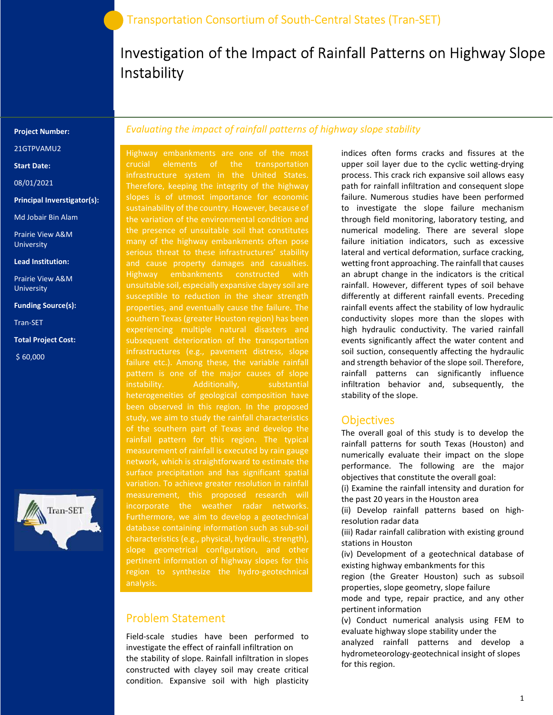## Investigation of the Impact of Rainfall Patterns on Highway Slope Instability

#### Project Number:

21GTPVAMU2

Start Date:

08/01/2021

Principal Inverstigator(s):

Md Jobair Bin Alam

Prairie View A&M University

Lead Institution:

Prairie View A&M University

Funding Source(s):

Tran-SET

Total Project Cost:

\$ 60,000



### Evaluating the impact of rainfall patterns of highway slope stability

Highway embankments are one of the most crucial elements of the transportation infrastructure system in the United States. Therefore, keeping the integrity of the highway slopes is of utmost importance for economic the variation of the environmental condition and the presence of unsuitable soil that constitutes many of the highway embankments often pose serious threat to these infrastructures' stability and cause property damages and casualties. Highway embankments constructed with unsuitable soil, especially expansive clayey soil are susceptible to reduction in the shear strength properties, and eventually cause the failure. The southern Texas (greater Houston region) has been experiencing multiple natural disasters and subsequent deterioration of the transportation failure etc.). Among these, the variable rainfall pattern is one of the major causes of slope instability. Additionally, substantial heterogeneities of geological composition have been observed in this region. In the proposed of the southern part of Texas and develop the rainfall pattern for this region. The typical measurement of rainfall is executed by rain gauge network, which is straightforward to estimate the surface precipitation and has significant spatial variation. To achieve greater resolution in rainfall Furthermore, we aim to develop a geotechnical database containing information such as sub-soil characteristics (e.g., physical, hydraulic, strength), slope geometrical configuration, and other pertinent information of highway slopes for this region to synthesize the hydro-geotechnical analysis.

### Problem Statement

Field-scale studies have been performed to investigate the effect of rainfall infiltration on the stability of slope. Rainfall infiltration in slopes constructed with clayey soil may create critical condition. Expansive soil with high plasticity

indices often forms cracks and fissures at the upper soil layer due to the cyclic wetting-drying process. This crack rich expansive soil allows easy path for rainfall infiltration and consequent slope failure. Numerous studies have been performed to investigate the slope failure mechanism through field monitoring, laboratory testing, and numerical modeling. There are several slope failure initiation indicators, such as excessive lateral and vertical deformation, surface cracking, wetting front approaching. The rainfall that causes an abrupt change in the indicators is the critical rainfall. However, different types of soil behave differently at different rainfall events. Preceding rainfall events affect the stability of low hydraulic conductivity slopes more than the slopes with high hydraulic conductivity. The varied rainfall events significantly affect the water content and soil suction, consequently affecting the hydraulic and strength behavior of the slope soil. Therefore, rainfall patterns can significantly influence infiltration behavior and, subsequently, the stability of the slope.

### **Objectives**

The overall goal of this study is to develop the rainfall patterns for south Texas (Houston) and numerically evaluate their impact on the slope performance. The following are the major objectives that constitute the overall goal:

(i) Examine the rainfall intensity and duration for the past 20 years in the Houston area

(ii) Develop rainfall patterns based on highresolution radar data

(iii) Radar rainfall calibration with existing ground stations in Houston

(iv) Development of a geotechnical database of existing highway embankments for this

region (the Greater Houston) such as subsoil properties, slope geometry, slope failure

mode and type, repair practice, and any other pertinent information

(v) Conduct numerical analysis using FEM to evaluate highway slope stability under the

analyzed rainfall patterns and develop a hydrometeorology-geotechnical insight of slopes for this region.